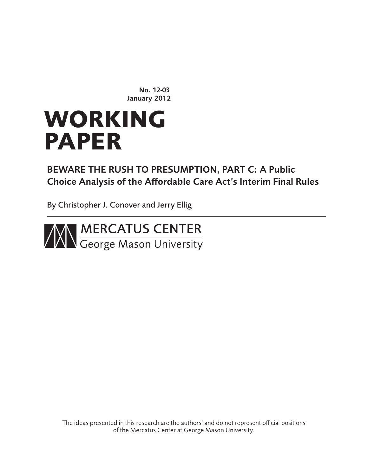No. 12-03 January 2012

# **WORKING PAPER**

# BEWARE THE RUSH TO PRESUMPTION, PART C: A Public Choice Analysis of the Affordable Care Act's Interim Final Rules

By Christopher J. Conover and Jerry Ellig



The ideas presented in this research are the authors' and do not represent official positions of the Mercatus Center at George Mason University.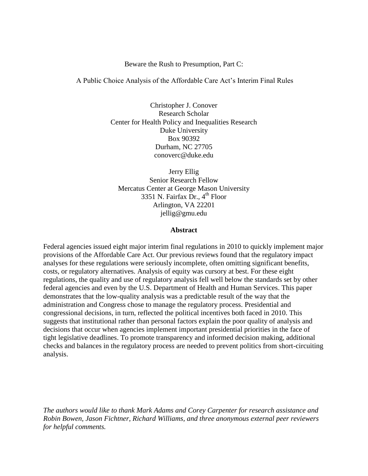#### Beware the Rush to Presumption, Part C:

A Public Choice Analysis of the Affordable Care Act's Interim Final Rules

Christopher J. Conover Research Scholar Center for Health Policy and Inequalities Research Duke University Box 90392 Durham, NC 27705 conoverc@duke.edu

Jerry Ellig Senior Research Fellow Mercatus Center at George Mason University 3351 N. Fairfax Dr.,  $4<sup>th</sup>$  Floor Arlington, VA 22201 jellig@gmu.edu

#### **Abstract**

Federal agencies issued eight major interim final regulations in 2010 to quickly implement major provisions of the Affordable Care Act. Our previous reviews found that the regulatory impact analyses for these regulations were seriously incomplete, often omitting significant benefits, costs, or regulatory alternatives. Analysis of equity was cursory at best. For these eight regulations, the quality and use of regulatory analysis fell well below the standards set by other federal agencies and even by the U.S. Department of Health and Human Services. This paper demonstrates that the low-quality analysis was a predictable result of the way that the administration and Congress chose to manage the regulatory process. Presidential and congressional decisions, in turn, reflected the political incentives both faced in 2010. This suggests that institutional rather than personal factors explain the poor quality of analysis and decisions that occur when agencies implement important presidential priorities in the face of tight legislative deadlines. To promote transparency and informed decision making, additional checks and balances in the regulatory process are needed to prevent politics from short-circuiting analysis.

*The authors would like to thank Mark Adams and Corey Carpenter for research assistance and Robin Bowen, Jason Fichtner, Richard Williams, and three anonymous external peer reviewers for helpful comments.*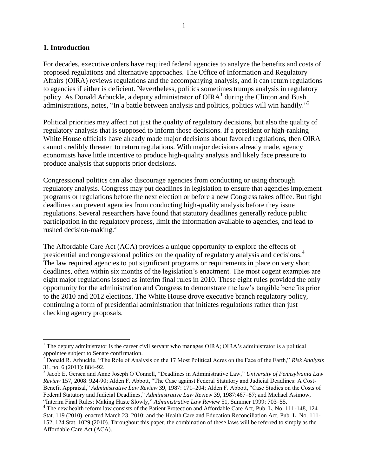#### **1. Introduction**

 $\overline{a}$ 

For decades, executive orders have required federal agencies to analyze the benefits and costs of proposed regulations and alternative approaches. The Office of Information and Regulatory Affairs (OIRA) reviews regulations and the accompanying analysis, and it can return regulations to agencies if either is deficient. Nevertheless, politics sometimes trumps analysis in regulatory policy. As Donald Arbuckle, a deputy administrator of  $OIRA<sup>1</sup>$  during the Clinton and Bush administrations, notes, "In a battle between analysis and politics, politics will win handily."<sup>2</sup>

Political priorities may affect not just the quality of regulatory decisions, but also the quality of regulatory analysis that is supposed to inform those decisions. If a president or high-ranking White House officials have already made major decisions about favored regulations, then OIRA cannot credibly threaten to return regulations. With major decisions already made, agency economists have little incentive to produce high-quality analysis and likely face pressure to produce analysis that supports prior decisions.

Congressional politics can also discourage agencies from conducting or using thorough regulatory analysis. Congress may put deadlines in legislation to ensure that agencies implement programs or regulations before the next election or before a new Congress takes office. But tight deadlines can prevent agencies from conducting high-quality analysis before they issue regulations. Several researchers have found that statutory deadlines generally reduce public participation in the regulatory process, limit the information available to agencies, and lead to rushed decision-making.<sup>3</sup>

The Affordable Care Act (ACA) provides a unique opportunity to explore the effects of presidential and congressional politics on the quality of regulatory analysis and decisions.<sup>4</sup> The law required agencies to put significant programs or requirements in place on very short deadlines, often within six months of the legislation's enactment. The most cogent examples are eight major regulations issued as interim final rules in 2010. These eight rules provided the only opportunity for the administration and Congress to demonstrate the law's tangible benefits prior to the 2010 and 2012 elections. The White House drove executive branch regulatory policy, continuing a form of presidential administration that initiates regulations rather than just checking agency proposals.

<sup>&</sup>lt;sup>1</sup> The deputy administrator is the career civil servant who manages OIRA; OIRA's administrator is a political appointee subject to Senate confirmation.

<sup>&</sup>lt;sup>2</sup> Donald R. Arbuckle, "The Role of Analysis on the 17 Most Political Acres on the Face of the Earth," *Risk Analysis* 31, no. 6 (2011): 884–92.

<sup>&</sup>lt;sup>3</sup> Jacob E. Gersen and Anne Joseph O'Connell, "Deadlines in Administrative Law," University of Pennsylvania Law *Review* 157, 2008: 924-90; Alden F. Abbott, "The Case against Federal Statutory and Judicial Deadlines: A Cost-Benefit Appraisal," *Administrative Law Review* 39, 1987: 171–204; Alden F. Abbott, "Case Studies on the Costs of Federal Statutory and Judicial Deadlines," *Administrative Law Review* 39, 1987:467–87; and Michael Asimow, ―Interim Final Rules: Making Haste Slowly,‖ *Administrative Law Review* 51, Summer 1999: 703–55.

<sup>&</sup>lt;sup>4</sup> The new health reform law consists of the Patient Protection and Affordable Care Act, Pub. L. No. 111-148, 124 Stat. 119 (2010), enacted March 23, 2010; and the Health Care and Education Reconciliation Act, Pub. L. No. 111- 152, 124 Stat. 1029 (2010). Throughout this paper, the combination of these laws will be referred to simply as the Affordable Care Act (ACA).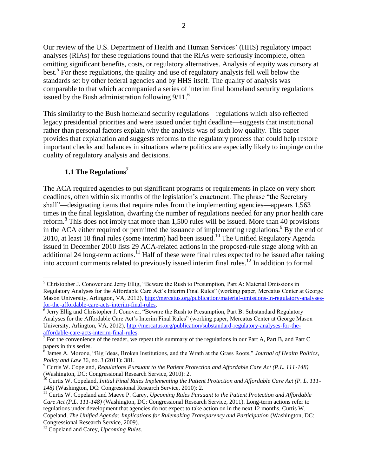Our review of the U.S. Department of Health and Human Services' (HHS) regulatory impact analyses (RIAs) for these regulations found that the RIAs were seriously incomplete, often omitting significant benefits, costs, or regulatory alternatives. Analysis of equity was cursory at best.<sup>5</sup> For these regulations, the quality and use of regulatory analysis fell well below the standards set by other federal agencies and by HHS itself. The quality of analysis was comparable to that which accompanied a series of interim final homeland security regulations issued by the Bush administration following  $9/11<sup>6</sup>$ 

This similarity to the Bush homeland security regulations—regulations which also reflected legacy presidential priorities and were issued under tight deadline—suggests that institutional rather than personal factors explain why the analysis was of such low quality. This paper provides that explanation and suggests reforms to the regulatory process that could help restore important checks and balances in situations where politics are especially likely to impinge on the quality of regulatory analysis and decisions.

#### **1.1 The Regulations<sup>7</sup>**

 $\overline{a}$ 

The ACA required agencies to put significant programs or requirements in place on very short deadlines, often within six months of the legislation's enactment. The phrase "the Secretary shall"—designating items that require rules from the implementing agencies—appears 1,563 times in the final legislation, dwarfing the number of regulations needed for any prior health care reform.<sup>8</sup> This does not imply that more than 1,500 rules will be issued. More than 40 provisions in the ACA either required or permitted the issuance of implementing regulations.  $9\,\text{By}$  the end of 2010, at least 18 final rules (some interim) had been issued.<sup>10</sup> The Unified Regulatory Agenda issued in December 2010 lists 29 ACA-related actions in the proposed-rule stage along with an additional 24 long-term actions.<sup>11</sup> Half of these were final rules expected to be issued after taking into account comments related to previously issued interim final rules.<sup>12</sup> In addition to formal

 $<sup>5</sup>$  Christopher J. Conover and Jerry Ellig, "Beware the Rush to Presumption, Part A: Material Omissions in</sup> Regulatory Analyses for the Affordable Care Act's Interim Final Rules" (working paper, Mercatus Center at George Mason University, Arlington, VA, 2012)[, http://mercatus.org/publication/material-omissions-in-regulatory-analyses](http://mercatus.org/publication/material-omissions-in-regulatory-analyses-for-the-affordable-care-acts-interim-final-rules)[for-the-affordable-care-acts-interim-final-rules.](http://mercatus.org/publication/material-omissions-in-regulatory-analyses-for-the-affordable-care-acts-interim-final-rules)

<sup>&</sup>lt;sup>6</sup> Jerry Ellig and Christopher J. Conover, "Beware the Rush to Presumption, Part B: Substandard Regulatory Analyses for the Affordable Care Act's Interim Final Rules" (working paper, Mercatus Center at George Mason University, Arlington, VA, 2012), [http://mercatus.org/publication/substandard-regulatory-analyses-for-the-](http://mercatus.org/publication/Substandard-Regulatory-Analyses-for%20-the-Affordable-Care-Acts-Interim-Final-Rules)

[affordable-care-acts-interim-final-rules.](http://mercatus.org/publication/Substandard-Regulatory-Analyses-for%20-the-Affordable-Care-Acts-Interim-Final-Rules)<br><sup>7</sup> For the convenience of the reader, we repeat this summary of the regulations in our Part A, Part B, and Part C

papers in this series.<br><sup>8</sup> James A. Morone, "Big Ideas, Broken Institutions, and the Wrath at the Grass Roots," *Journal of Health Politics*, *Policy and Law* 36, no. 3 (2011): 381.

<sup>9</sup> Curtis W. Copeland, *Regulations Pursuant to the Patient Protection and Affordable Care Act (P.L. 111-148)*  (Washington, DC: Congressional Research Service, 2010): 2.

<sup>&</sup>lt;sup>10</sup> Curtis W. Copeland, *Initial Final Rules Implementing the Patient Protection and Affordable Care Act (P. L. 111-148)* (Washington, DC: Congressional Research Service, 2010): 2.

<sup>&</sup>lt;sup>11</sup> Curtis W. Copeland and Maeve P. Carey, *Upcoming Rules Pursuant to the Patient Protection and Affordable Care Act (P.L. 111-148)* (Washington, DC: Congressional Research Service, 2011). Long-term actions refer to regulations under development that agencies do not expect to take action on in the next 12 months. Curtis W. Copeland, *The Unified Agenda: Implications for Rulemaking Transparency and Participation* (Washington, DC: Congressional Research Service, 2009).

<sup>12</sup> Copeland and Carey, *Upcoming Rules.*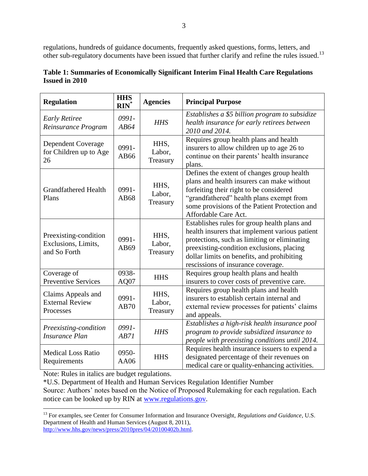regulations, hundreds of guidance documents, frequently asked questions, forms, letters, and other sub-regulatory documents have been issued that further clarify and refine the rules issued.<sup>13</sup>

| <b>Regulation</b>                                            | <b>HHS</b><br>$RIN^*$ | <b>Agencies</b>            | <b>Principal Purpose</b>                                                                                                                                                                                                                                                        |
|--------------------------------------------------------------|-----------------------|----------------------------|---------------------------------------------------------------------------------------------------------------------------------------------------------------------------------------------------------------------------------------------------------------------------------|
| <b>Early Retiree</b><br>Reinsurance Program                  | 0991-<br>AB64         | <b>HHS</b>                 | Establishes a \$5 billion program to subsidize<br>health insurance for early retirees between<br>2010 and 2014.                                                                                                                                                                 |
| <b>Dependent Coverage</b><br>for Children up to Age<br>26    | 0991-<br>AB66         | HHS,<br>Labor,<br>Treasury | Requires group health plans and health<br>insurers to allow children up to age 26 to<br>continue on their parents' health insurance<br>plans.                                                                                                                                   |
| <b>Grandfathered Health</b><br>Plans                         | 0991-<br>AB68         | HHS,<br>Labor,<br>Treasury | Defines the extent of changes group health<br>plans and health insurers can make without<br>forfeiting their right to be considered<br>"grandfathered" health plans exempt from<br>some provisions of the Patient Protection and<br>Affordable Care Act.                        |
| Preexisting-condition<br>Exclusions, Limits,<br>and So Forth | 0991-<br>AB69         | HHS,<br>Labor,<br>Treasury | Establishes rules for group health plans and<br>health insurers that implement various patient<br>protections, such as limiting or eliminating<br>preexisting-condition exclusions, placing<br>dollar limits on benefits, and prohibiting<br>rescissions of insurance coverage. |
| Coverage of<br><b>Preventive Services</b>                    | 0938-<br>AQ07         | <b>HHS</b>                 | Requires group health plans and health<br>insurers to cover costs of preventive care.                                                                                                                                                                                           |
| Claims Appeals and<br><b>External Review</b><br>Processes    | 0991-<br>AB70         | HHS,<br>Labor,<br>Treasury | Requires group health plans and health<br>insurers to establish certain internal and<br>external review processes for patients' claims<br>and appeals.                                                                                                                          |
| Preexisting-condition<br><b>Insurance Plan</b>               | 0991-<br>AB71         | <b>HHS</b>                 | Establishes a high-risk health insurance pool<br>program to provide subsidized insurance to<br>people with preexisting conditions until 2014.                                                                                                                                   |
| <b>Medical Loss Ratio</b><br>Requirements                    | 0950-<br>AA06         | <b>HHS</b>                 | Requires health insurance issuers to expend a<br>designated percentage of their revenues on<br>medical care or quality-enhancing activities.                                                                                                                                    |

| Table 1: Summaries of Economically Significant Interim Final Health Care Regulations |  |
|--------------------------------------------------------------------------------------|--|
| <b>Issued in 2010</b>                                                                |  |

Note: Rules in italics are budget regulations.

 $\overline{a}$ 

\*U.S. Department of Health and Human Services Regulation Identifier Number Source: Authors' notes based on the Notice of Proposed Rulemaking for each regulation. Each notice can be looked up by RIN at [www.regulations.gov.](http://www.regulations.gov/)

<sup>13</sup> For examples, see Center for Consumer Information and Insurance Oversight, *Regulations and Guidance*, U.S. Department of Health and Human Services (August 8, 2011), [http://www.hhs.gov/news/press/2010pres/04/20100402b.html.](http://www.hhs.gov/news/press/2010pres/04/20100402b.html)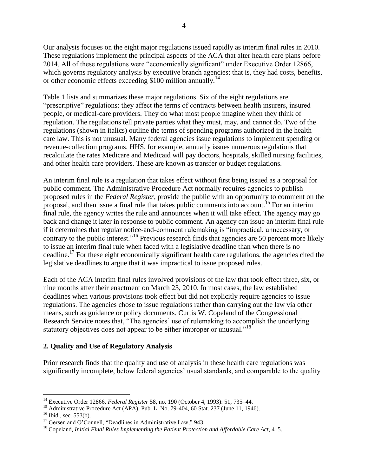Our analysis focuses on the eight major regulations issued rapidly as interim final rules in 2010. These regulations implement the principal aspects of the ACA that alter health care plans before 2014. All of these regulations were "economically significant" under Executive Order 12866, which governs regulatory analysis by executive branch agencies; that is, they had costs, benefits, or other economic effects exceeding \$100 million annually.<sup>14</sup>

Table 1 lists and summarizes these major regulations. Six of the eight regulations are "prescriptive" regulations: they affect the terms of contracts between health insurers, insured people, or medical-care providers. They do what most people imagine when they think of regulation. The regulations tell private parties what they must, may, and cannot do. Two of the regulations (shown in italics) outline the terms of spending programs authorized in the health care law. This is not unusual. Many federal agencies issue regulations to implement spending or revenue-collection programs. HHS, for example, annually issues numerous regulations that recalculate the rates Medicare and Medicaid will pay doctors, hospitals, skilled nursing facilities, and other health care providers. These are known as transfer or budget regulations.

An interim final rule is a regulation that takes effect without first being issued as a proposal for public comment. The Administrative Procedure Act normally requires agencies to publish proposed rules in the *Federal Register*, provide the public with an opportunity to comment on the proposal, and then issue a final rule that takes public comments into account.<sup>15</sup> For an interim final rule, the agency writes the rule and announces when it will take effect. The agency may go back and change it later in response to public comment. An agency can issue an interim final rule if it determines that regular notice-and-comment rulemaking is "impractical, unnecessary, or contrary to the public interest."<sup>16</sup> Previous research finds that agencies are 50 percent more likely to issue an interim final rule when faced with a legislative deadline than when there is no deadline.<sup>17</sup> For these eight economically significant health care regulations, the agencies cited the legislative deadlines to argue that it was impractical to issue proposed rules.

Each of the ACA interim final rules involved provisions of the law that took effect three, six, or nine months after their enactment on March 23, 2010. In most cases, the law established deadlines when various provisions took effect but did not explicitly require agencies to issue regulations. The agencies chose to issue regulations rather than carrying out the law via other means, such as guidance or policy documents. Curtis W. Copeland of the Congressional Research Service notes that, "The agencies' use of rulemaking to accomplish the underlying statutory objectives does not appear to be either improper or unusual.<sup>18</sup>

#### **2. Quality and Use of Regulatory Analysis**

Prior research finds that the quality and use of analysis in these health care regulations was significantly incomplete, below federal agencies' usual standards, and comparable to the quality

<sup>14</sup> Executive Order 12866, *Federal Register* 58, no. 190 (October 4, 1993): 51, 735–44.

<sup>&</sup>lt;sup>15</sup> Administrative Procedure Act (APA), Pub. L. No. 79-404, 60 Stat. 237 (June 11, 1946).

 $16$  Ibid., sec. 553(b).

 $17$  Gersen and O'Connell, "Deadlines in Administrative Law." 943.

<sup>18</sup> Copeland, *Initial Final Rules Implementing the Patient Protection and Affordable Care Act*, 4–5.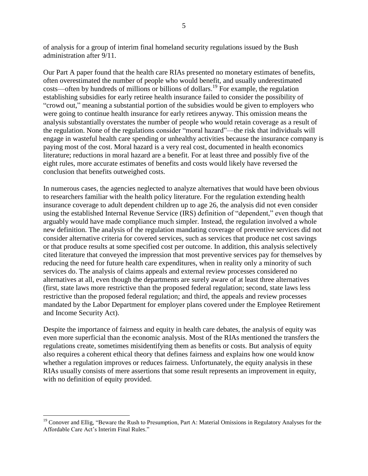of analysis for a group of interim final homeland security regulations issued by the Bush administration after 9/11.

Our Part A paper found that the health care RIAs presented no monetary estimates of benefits, often overestimated the number of people who would benefit, and usually underestimated costs—often by hundreds of millions or billions of dollars.<sup>19</sup> For example, the regulation establishing subsidies for early retiree health insurance failed to consider the possibility of "crowd out," meaning a substantial portion of the subsidies would be given to employers who were going to continue health insurance for early retirees anyway. This omission means the analysis substantially overstates the number of people who would retain coverage as a result of the regulation. None of the regulations consider "moral hazard"—the risk that individuals will engage in wasteful health care spending or unhealthy activities because the insurance company is paying most of the cost. Moral hazard is a very real cost, documented in health economics literature; reductions in moral hazard are a benefit. For at least three and possibly five of the eight rules, more accurate estimates of benefits and costs would likely have reversed the conclusion that benefits outweighed costs.

In numerous cases, the agencies neglected to analyze alternatives that would have been obvious to researchers familiar with the health policy literature. For the regulation extending health insurance coverage to adult dependent children up to age 26, the analysis did not even consider using the established Internal Revenue Service (IRS) definition of "dependent," even though that arguably would have made compliance much simpler. Instead, the regulation involved a whole new definition. The analysis of the regulation mandating coverage of preventive services did not consider alternative criteria for covered services, such as services that produce net cost savings or that produce results at some specified cost per outcome. In addition, this analysis selectively cited literature that conveyed the impression that most preventive services pay for themselves by reducing the need for future health care expenditures, when in reality only a minority of such services do. The analysis of claims appeals and external review processes considered no alternatives at all, even though the departments are surely aware of at least three alternatives (first, state laws more restrictive than the proposed federal regulation; second, state laws less restrictive than the proposed federal regulation; and third, the appeals and review processes mandated by the Labor Department for employer plans covered under the Employee Retirement and Income Security Act).

Despite the importance of fairness and equity in health care debates, the analysis of equity was even more superficial than the economic analysis. Most of the RIAs mentioned the transfers the regulations create, sometimes misidentifying them as benefits or costs. But analysis of equity also requires a coherent ethical theory that defines fairness and explains how one would know whether a regulation improves or reduces fairness. Unfortunately, the equity analysis in these RIAs usually consists of mere assertions that some result represents an improvement in equity, with no definition of equity provided.

 $19$  Conover and Ellig, "Beware the Rush to Presumption, Part A: Material Omissions in Regulatory Analyses for the Affordable Care Act's Interim Final Rules."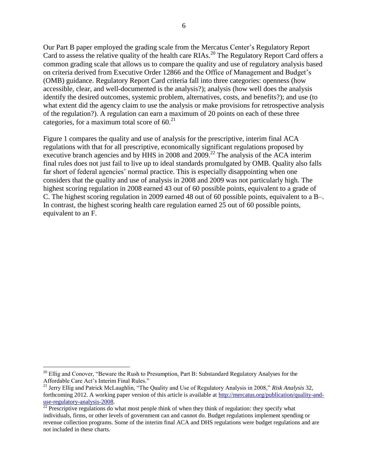Our Part B paper employed the grading scale from the Mercatus Center's Regulatory Report Card to assess the relative quality of the health care RIAs.<sup>20</sup> The Regulatory Report Card offers a common grading scale that allows us to compare the quality and use of regulatory analysis based on criteria derived from Executive Order 12866 and the Office of Management and Budget's (OMB) guidance. Regulatory Report Card criteria fall into three categories: openness (how accessible, clear, and well-documented is the analysis?); analysis (how well does the analysis identify the desired outcomes, systemic problem, alternatives, costs, and benefits?); and use (to what extent did the agency claim to use the analysis or make provisions for retrospective analysis of the regulation?). A regulation can earn a maximum of 20 points on each of these three categories, for a maximum total score of  $60<sup>21</sup>$ 

Figure 1 compares the quality and use of analysis for the prescriptive, interim final ACA regulations with that for all prescriptive, economically significant regulations proposed by executive branch agencies and by HHS in 2008 and  $2009$ .<sup>22</sup> The analysis of the ACA interim final rules does not just fail to live up to ideal standards promulgated by OMB. Quality also falls far short of federal agencies' normal practice. This is especially disappointing when one considers that the quality and use of analysis in 2008 and 2009 was not particularly high. The highest scoring regulation in 2008 earned 43 out of 60 possible points, equivalent to a grade of C. The highest scoring regulation in 2009 earned 48 out of 60 possible points, equivalent to a B–. In contrast, the highest scoring health care regulation earned 25 out of 60 possible points, equivalent to an F.

 $20$  Ellig and Conover, "Beware the Rush to Presumption, Part B: Substandard Regulatory Analyses for the Affordable Care Act's Interim Final Rules."

<sup>&</sup>lt;sup>21</sup> Jerry Ellig and Patrick McLaughlin, "The Quality and Use of Regulatory Analysis in 2008," *Risk Analysis* 32, forthcoming 2012. A working paper version of this article is available at [http://mercatus.org/publication/quality-and](http://mercatus.org/publication/quality-and-use-regulatory-analysis-2008)[use-regulatory-analysis-2008.](http://mercatus.org/publication/quality-and-use-regulatory-analysis-2008)

 $\frac{220 \text{ erg, mass}}{22}$  Prescriptive regulations do what most people think of when they think of regulation: they specify what individuals, firms, or other levels of government can and cannot do. Budget regulations implement spending or revenue collection programs. Some of the interim final ACA and DHS regulations were budget regulations and are not included in these charts.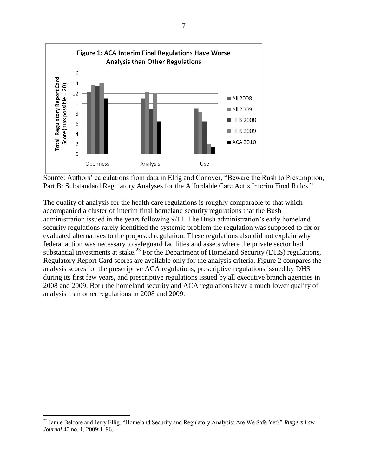

Source: Authors' calculations from data in Ellig and Conover, "Beware the Rush to Presumption, Part B: Substandard Regulatory Analyses for the Affordable Care Act's Interim Final Rules."

The quality of analysis for the health care regulations is roughly comparable to that which accompanied a cluster of interim final homeland security regulations that the Bush administration issued in the years following 9/11. The Bush administration's early homeland security regulations rarely identified the systemic problem the regulation was supposed to fix or evaluated alternatives to the proposed regulation. These regulations also did not explain why federal action was necessary to safeguard facilities and assets where the private sector had substantial investments at stake.<sup>23</sup> For the Department of Homeland Security (DHS) regulations, Regulatory Report Card scores are available only for the analysis criteria. Figure 2 compares the analysis scores for the prescriptive ACA regulations, prescriptive regulations issued by DHS during its first few years, and prescriptive regulations issued by all executive branch agencies in 2008 and 2009. Both the homeland security and ACA regulations have a much lower quality of analysis than other regulations in 2008 and 2009.

<sup>&</sup>lt;sup>23</sup> Jamie Belcore and Jerry Ellig, "Homeland Security and Regulatory Analysis: Are We Safe Yet?" *Rutgers Law Journal* 40 no. 1, 2009:1–96.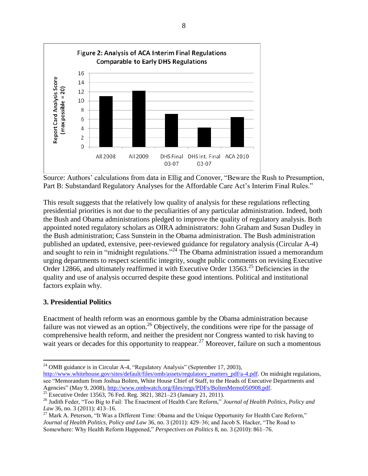

Source: Authors' calculations from data in Ellig and Conover, "Beware the Rush to Presumption, Part B: Substandard Regulatory Analyses for the Affordable Care Act's Interim Final Rules."

This result suggests that the relatively low quality of analysis for these regulations reflecting presidential priorities is not due to the peculiarities of any particular administration. Indeed, both the Bush and Obama administrations pledged to improve the quality of regulatory analysis. Both appointed noted regulatory scholars as OIRA administrators: John Graham and Susan Dudley in the Bush administration; Cass Sunstein in the Obama administration. The Bush administration published an updated, extensive, peer-reviewed guidance for regulatory analysis (Circular A-4) and sought to rein in "midnight regulations."<sup>24</sup> The Obama administration issued a memorandum urging departments to respect scientific integrity, sought public comments on revising Executive Order 12866, and ultimately reaffirmed it with Executive Order 13563.<sup>25</sup> Deficiencies in the quality and use of analysis occurred despite these good intentions. Political and institutional factors explain why.

#### **3. Presidential Politics**

Enactment of health reform was an enormous gamble by the Obama administration because failure was not viewed as an option.<sup>26</sup> Objectively, the conditions were ripe for the passage of comprehensive health reform, and neither the president nor Congress wanted to risk having to wait years or decades for this opportunity to reappear.<sup>27</sup> Moreover, failure on such a momentous

see "Memorandum from Joshua Bolten, White House Chief of Staff, to the Heads of Executive Departments and Agencies" (May 9, 2008)[, http://www.ombwatch.org/files/regs/PDFs/BoltenMemo050908.pdf.](http://www.ombwatch.org/files/regs/PDFs/BoltenMemo050908.pdf)

 $\overline{a}$ <sup>24</sup> OMB guidance is in Circular A-4, "Regulatory Analysis" (September 17, 2003), [http://www.whitehouse.gov/sites/default/files/omb/assets/regulatory\\_matters\\_pdf/a-4.pdf.](http://www.whitehouse.gov/sites/default/files/omb/assets/regulatory_matters_pdf/a-4.pdf) On midnight regulations,

<sup>&</sup>lt;sup>25</sup> Executive Order 13563, 76 Fed. Reg. 3821, 3821–23 (January 21, 2011).

<sup>&</sup>lt;sup>26</sup> Judith Feder, "Too Big to Fail: The Enactment of Health Care Reform," Journal of Health Politics, Policy and *Law* 36, no. 3 (2011): 413–16.

 $^{27}$  Mark A. Peterson, "It Was a Different Time: Obama and the Unique Opportunity for Health Care Reform," *Journal of Health Politics, Policy and Law* 36, no. 3 (2011): 429–36; and Jacob S. Hacker, "The Road to Somewhere: Why Health Reform Happened," *Perspectives on Politics* 8, no. 3 (2010): 861-76.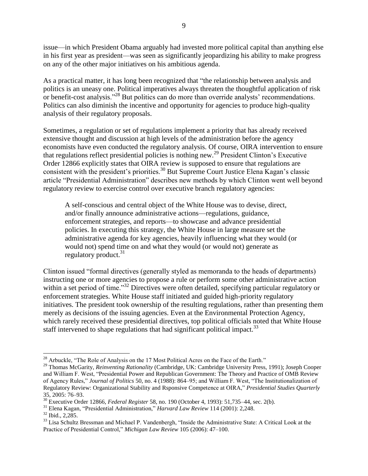issue—in which President Obama arguably had invested more political capital than anything else in his first year as president—was seen as significantly jeopardizing his ability to make progress on any of the other major initiatives on his ambitious agenda.

As a practical matter, it has long been recognized that "the relationship between analysis and politics is an uneasy one. Political imperatives always threaten the thoughtful application of risk or benefit-cost analysis."<sup>28</sup> But politics can do more than override analysts' recommendations. Politics can also diminish the incentive and opportunity for agencies to produce high-quality analysis of their regulatory proposals.

Sometimes, a regulation or set of regulations implement a priority that has already received extensive thought and discussion at high levels of the administration before the agency economists have even conducted the regulatory analysis. Of course, OIRA intervention to ensure that regulations reflect presidential policies is nothing new.<sup>29</sup> President Clinton's Executive Order 12866 explicitly states that OIRA review is supposed to ensure that regulations are consistent with the president's priorities.<sup>30</sup> But Supreme Court Justice Elena Kagan's classic article "Presidential Administration" describes new methods by which Clinton went well beyond regulatory review to exercise control over executive branch regulatory agencies:

A self-conscious and central object of the White House was to devise, direct, and/or finally announce administrative actions—regulations, guidance, enforcement strategies, and reports—to showcase and advance presidential policies. In executing this strategy, the White House in large measure set the administrative agenda for key agencies, heavily influencing what they would (or would not) spend time on and what they would (or would not) generate as regulatory product.<sup>31</sup>

Clinton issued "formal directives (generally styled as memoranda to the heads of departments) instructing one or more agencies to propose a rule or perform some other administrative action within a set period of time."<sup>32</sup> Directives were often detailed, specifying particular regulatory or enforcement strategies. White House staff initiated and guided high-priority regulatory initiatives. The president took ownership of the resulting regulations, rather than presenting them merely as decisions of the issuing agencies. Even at the Environmental Protection Agency, which rarely received these presidential directives, top political officials noted that White House staff intervened to shape regulations that had significant political impact.<sup>33</sup>

 $\overline{a}$  $28$  Arbuckle, "The Role of Analysis on the 17 Most Political Acres on the Face of the Earth."

<sup>29</sup> Thomas McGarity, *Reinventing Rationality* (Cambridge, UK: Cambridge University Press, 1991); Joseph Cooper and William F. West, "Presidential Power and Republican Government: The Theory and Practice of OMB Review of Agency Rules," *Journal of Politics* 50, no. 4 (1988): 864–95; and William F. West, "The Institutionalization of Regulatory Review: Organizational Stability and Rsponsive Competence at OIRA," *Presidential Studies Quarterly* 35, 2005: 76–93.

<sup>30</sup> Executive Order 12866, *Federal Register* 58, no. 190 (October 4, 1993): 51,735–44, sec. 2(b).

<sup>&</sup>lt;sup>31</sup> Elena Kagan, "Presidential Administration," *Harvard Law Review 114 (2001): 2,248*.

 $32$  Ibid., 2,285.

<sup>&</sup>lt;sup>33</sup> Lisa Schultz Bressman and Michael P. Vandenbergh, "Inside the Administrative State: A Critical Look at the Practice of Presidential Control," *Michigan Law Review 105 (2006)*: 47-100.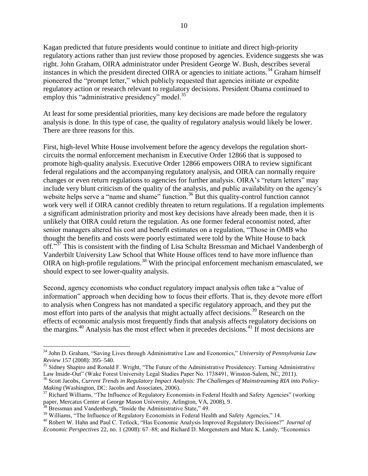Kagan predicted that future presidents would continue to initiate and direct high-priority regulatory actions rather than just review those proposed by agencies. Evidence suggests she was right. John Graham, OIRA administrator under President George W. Bush, describes several instances in which the president directed OIRA or agencies to initiate actions.<sup>34</sup> Graham himself pioneered the "prompt letter," which publicly requested that agencies initiate or expedite regulatory action or research relevant to regulatory decisions. President Obama continued to employ this "administrative presidency" model. $^{35}$ 

At least for some presidential priorities, many key decisions are made before the regulatory analysis is done. In this type of case, the quality of regulatory analysis would likely be lower. There are three reasons for this.

First, high-level White House involvement before the agency develops the regulation shortcircuits the normal enforcement mechanism in Executive Order 12866 that is supposed to promote high-quality analysis. Executive Order 12866 empowers OIRA to review significant federal regulations and the accompanying regulatory analysis, and OIRA can normally require changes or even return regulations to agencies for further analysis. OIRA's "return letters" may include very blunt criticism of the quality of the analysis, and public availability on the agency's website helps serve a "name and shame" function.<sup>36</sup> But this quality-control function cannot work very well if OIRA cannot credibly threaten to return regulations. If a regulation implements a significant administration priority and most key decisions have already been made, then it is unlikely that OIRA could return the regulation. As one former federal economist noted, after senior managers altered his cost and benefit estimates on a regulation, "Those in OMB who thought the benefits and costs were poorly estimated were told by the White House to back off."<sup>37</sup> This is consistent with the finding of Lisa Schultz Bressman and Michael Vandenbergh of Vanderbilt University Law School that White House offices tend to have more influence than OIRA on high-profile regulations.<sup>38</sup> With the principal enforcement mechanism emasculated, we should expect to see lower-quality analysis.

Second, agency economists who conduct regulatory impact analysis often take a "value of information" approach when deciding how to focus their efforts. That is, they devote more effort to analysis when Congress has not mandated a specific regulatory approach, and they put the most effort into parts of the analysis that might actually affect decisions.<sup>39</sup> Research on the effects of economic analysis most frequently finds that analysis affects regulatory decisions on the margins.<sup>40</sup> Analysis has the most effect when it precedes decisions.<sup>41</sup> If most decisions are

<sup>&</sup>lt;sup>34</sup> John D. Graham, "Saving Lives through Administrative Law and Economics," *University of Pennsylvania Law Review* 157 (2008): 395–540.

<sup>&</sup>lt;sup>35</sup> Sidney Shapiro and Ronald F. Wright, "The Future of the Administrative Presidencey: Turning Administrative Law Inside-Out" (Wake Forest University Legal Studies Paper No. 1738491, Winston-Salem, NC, 2011).

<sup>36</sup> Scott Jacobs, *Current Trends in Regulatory Impact Analysis: The Challenges of Mainstreaming RIA into Policy-Making* (Washington, DC: Jacobs and Associates, 2006).

<sup>&</sup>lt;sup>37</sup> Richard Williams, "The Influence of Regulatory Economists in Federal Health and Safety Agencies" (working paper, Mercatus Center at George Mason University, Arlington, VA, 2008), 9.

 $38$  Bressman and Vandenbergh, "Inside the Administrative State," 49.

<sup>&</sup>lt;sup>39</sup> Williams, "The Influence of Regulatory Economists in Federal Health and Safety Agencies," 14.

<sup>&</sup>lt;sup>40</sup> Robert W. Hahn and Paul C. Tetlock, "Has Economic Analysis Improved Regulatory Decisions?" Journal of *Economic Perspectives* 22, no. 1 (2008): 67–88; and Richard D. Morgenstern and Marc K. Landy, "Economics"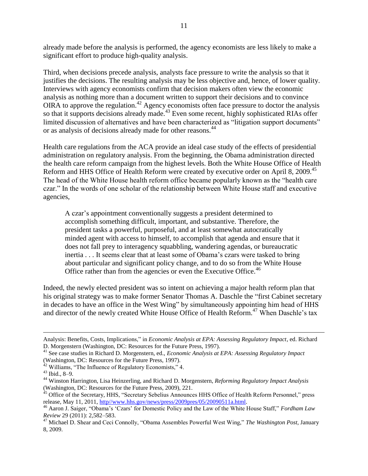already made before the analysis is performed, the agency economists are less likely to make a significant effort to produce high-quality analysis.

Third, when decisions precede analysis, analysts face pressure to write the analysis so that it justifies the decisions. The resulting analysis may be less objective and, hence, of lower quality. Interviews with agency economists confirm that decision makers often view the economic analysis as nothing more than a document written to support their decisions and to convince OIRA to approve the regulation.<sup>42</sup> Agency economists often face pressure to doctor the analysis so that it supports decisions already made.<sup>43</sup> Even some recent, highly sophisticated RIAs offer limited discussion of alternatives and have been characterized as "litigation support documents" or as analysis of decisions already made for other reasons.<sup>44</sup>

Health care regulations from the ACA provide an ideal case study of the effects of presidential administration on regulatory analysis. From the beginning, the Obama administration directed the health care reform campaign from the highest levels. Both the White House Office of Health Reform and HHS Office of Health Reform were created by executive order on April 8, 2009.<sup>45</sup> The head of the White House health reform office became popularly known as the "health care" czar.‖ In the words of one scholar of the relationship between White House staff and executive agencies,

A czar's appointment conventionally suggests a president determined to accomplish something difficult, important, and substantive. Therefore, the president tasks a powerful, purposeful, and at least somewhat autocratically minded agent with access to himself, to accomplish that agenda and ensure that it does not fall prey to interagency squabbling, wandering agendas, or bureaucratic inertia . . . It seems clear that at least some of Obama's czars were tasked to bring about particular and significant policy change, and to do so from the White House Office rather than from the agencies or even the Executive Office.<sup>46</sup>

Indeed, the newly elected president was so intent on achieving a major health reform plan that his original strategy was to make former Senator Thomas A. Daschle the "first Cabinet secretary" in decades to have an office in the West Wing" by simultaneously appointing him head of HHS and director of the newly created White House Office of Health Reform.<sup>47</sup> When Daschle's tax

Analysis: Benefits, Costs, Implications," in *Economic Analysis at EPA: Assessing Regulatory Impact*, ed. Richard D. Morgenstern (Washington, DC: Resources for the Future Press, 1997).

<sup>41</sup> See case studies in Richard D. Morgenstern, ed., *Economic Analysis at EPA: Assessing Regulatory Impact* (Washington, DC: Resources for the Future Press, 1997).

 $42$  Williams, "The Influence of Regulatory Economists," 4.

<sup>43</sup> Ibid., 8–9.

<sup>44</sup> Winston Harrington, Lisa Heinzerling, and Richard D. Morgenstern, *Reforming Regulatory Impact Analysis*  (Washington, DC: Resources for the Future Press, 2009), 221.

<sup>&</sup>lt;sup>45</sup> Office of the Secretary, HHS, "Secretary Sebelius Announces HHS Office of Health Reform Personnel," press release, May 11, 2011[, http//www.hhs.gov/news/press/2009pres/05/20090511a.html.](http/www.hhs.gov/news/press/2009pres/05/20090511a.html)

<sup>&</sup>lt;sup>46</sup> Aaron J. Saiger, "Obama's 'Czars' for Domestic Policy and the Law of the White House Staff," *Fordham Law Review* 29 (2011): 2,582–583.

<sup>47</sup> Michael D. Shear and Ceci Connolly, "Obama Assembles Powerful West Wing," The Washington Post, January 8, 2009.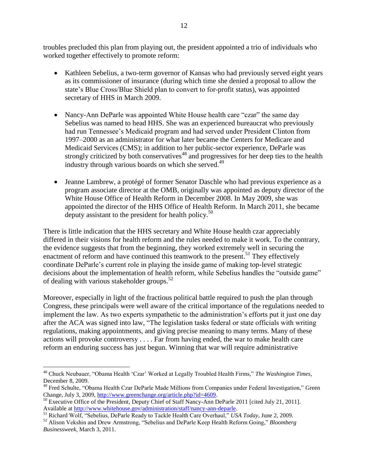troubles precluded this plan from playing out, the president appointed a trio of individuals who worked together effectively to promote reform:

- Kathleen Sebelius, a two-term governor of Kansas who had previously served eight years as its commissioner of insurance (during which time she denied a proposal to allow the state's Blue Cross/Blue Shield plan to convert to for-profit status), was appointed secretary of HHS in March 2009.
- Nancy-Ann DeParle was appointed White House health care "czar" the same day Sebelius was named to head HHS. She was an experienced bureaucrat who previously had run Tennessee's Medicaid program and had served under President Clinton from 1997–2000 as an administrator for what later became the Centers for Medicare and Medicaid Services (CMS); in addition to her public-sector experience, DeParle was strongly criticized by both conservatives<sup> $48$ </sup> and progressives for her deep ties to the health industry through various boards on which she served.<sup>49</sup>
- Jeanne Lambrew, a protégé of former Senator Daschle who had previous experience as a program associate director at the OMB, originally was appointed as deputy director of the White House Office of Health Reform in December 2008. In May 2009, she was appointed the director of the HHS Office of Health Reform. In March 2011, she became deputy assistant to the president for health policy.<sup>50</sup>

There is little indication that the HHS secretary and White House health czar appreciably differed in their visions for health reform and the rules needed to make it work. To the contrary, the evidence suggests that from the beginning, they worked extremely well in securing the enactment of reform and have continued this teamwork to the present.<sup>51</sup> They effectively coordinate DeParle's current role in playing the inside game of making top-level strategic decisions about the implementation of health reform, while Sebelius handles the "outside game" of dealing with various stakeholder groups.<sup>52</sup>

Moreover, especially in light of the fractious political battle required to push the plan through Congress, these principals were well aware of the critical importance of the regulations needed to implement the law. As two experts sympathetic to the administration's efforts put it just one day after the ACA was signed into law, "The legislation tasks federal or state officials with writing regulations, making appointments, and giving precise meaning to many terms. Many of these actions will provoke controversy . . . . Far from having ended, the war to make health care reform an enduring success has just begun. Winning that war will require administrative

<sup>&</sup>lt;sup>48</sup> Chuck Neubauer, "Obama Health 'Czar' Worked at Legally Troubled Health Firms," The Washington Times, December 8, 2009.

<sup>&</sup>lt;sup>49</sup> Fred Schulte, "Obama Health Czar DeParle Made Millions from Companies under Federal Investigation," Green Change, July 3, 2009[, http://www.greenchange.org/article.php?id=4609.](http://www.greenchange.org/article.php?id=4609)

<sup>&</sup>lt;sup>50</sup> Executive Office of the President, Deputy Chief of Staff Nancy-Ann DeParle 2011 [cited July 21, 2011]. Available at [http://www.whitehouse.gov/administration/staff/nancy-ann-deparle.](http://www.whitehouse.gov/administration/staff/nancy-ann-deparle)

<sup>&</sup>lt;sup>51</sup> Richard Wolf, "Sebelius, DeParle Ready to Tackle Health Care Overhaul," USA Today, June 2, 2009.

<sup>&</sup>lt;sup>52</sup> Alison Vekshin and Drew Armstrong, "Sebelius and DeParle Keep Health Reform Going," *Bloomberg Businessweek*, March 3, 2011.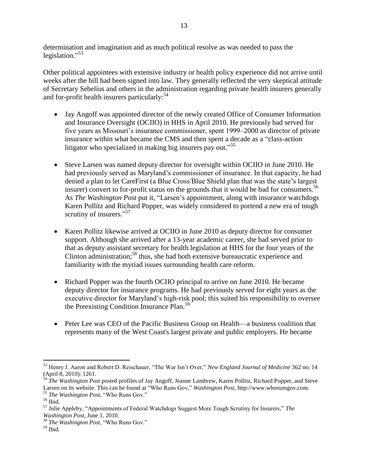determination and imagination and as much political resolve as was needed to pass the legislation."<sup>53</sup>

Other political appointees with extensive industry or health policy experience did not arrive until weeks after the bill had been signed into law. They generally reflected the very skeptical attitude of Secretary Sebelius and others in the administration regarding private health insurers generally and for-profit health insurers particularly:<sup>54</sup>

- Jay Angoff was appointed director of the newly created Office of Consumer Information and Insurance Oversight (OCIIO) in HHS in April 2010. He previously had served for five years as Missouri's insurance commissioner, spent 1999–2000 as director of private insurance within what became the CMS and then spent a decade as a "class-action" litigator who specialized in making big insurers pay out."<sup>55</sup>
- Steve Larsen was named deputy director for oversight within OCIIO in June 2010. He had previously served as Maryland's commissioner of insurance. In that capacity, he had denied a plan to let CareFirst (a Blue Cross/Blue Shield plan that was the state's largest insurer) convert to for-profit status on the grounds that it would be bad for consumers.<sup>56</sup> As *The Washington Post* put it, "Larsen's appointment, along with insurance watchdogs Karen Pollitz and Richard Popper, was widely considered to portend a new era of tough scrutiny of insurers."<sup>57</sup>
- Karen Pollitz likewise arrived at OCIIO in June 2010 as deputy director for consumer support. Although she arrived after a 13-year academic career, she had served prior to that as deputy assistant secretary for health legislation at HHS for the four years of the Clinton administration;<sup>58</sup> thus, she had both extensive bureaucratic experience and familiarity with the myriad issues surrounding health care reform.
- Richard Popper was the fourth OCIIO principal to arrive on June 2010. He became deputy director for insurance programs. He had previously served for eight years as the executive director for Maryland's high-risk pool; this suited his responsibility to oversee the Preexisting Condition Insurance Plan.<sup>59</sup>
- Peter Lee was CEO of the Pacific Business Group on Health—a business coalition that represents many of the West Coast's largest private and public employers. He became

 $\overline{a}$ 53 Henry J. Aaron and Robert D. Reischauer, "The War Isn't Over," New England Journal of Medicine 362 no. 14 (April 8, 2010): 1261.

<sup>54</sup> *The Washington Post* posted profiles of Jay Angoff, Jeanne Lambrew, Karen Pollitz, Richard Popper, and Steve Larsen on its website. This can be found at "Who Runs Gov," *Washington Post*, http://www.whorunsgov.com. <sup>55</sup> *The Washington Post*, "Who Runs Gov."

 $^{\rm 56}$  Ibid.

<sup>&</sup>lt;sup>57</sup> Julie Appleby, "Appointments of Federal Watchdogs Suggest More Tough Scrutiny for Insurers," *The Washington Post*, June 1, 2010.

<sup>58</sup> *The Washington Post*, "Who Runs Gov."

 $59$  Ibid.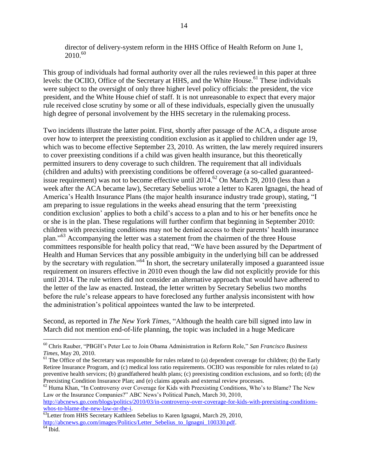director of delivery-system reform in the HHS Office of Health Reform on June 1, 2010. 60

This group of individuals had formal authority over all the rules reviewed in this paper at three levels: the OCIIO, Office of the Secretary at HHS, and the White House.<sup>61</sup> These individuals were subject to the oversight of only three higher level policy officials: the president, the vice president, and the White House chief of staff. It is not unreasonable to expect that every major rule received close scrutiny by some or all of these individuals, especially given the unusually high degree of personal involvement by the HHS secretary in the rulemaking process.

Two incidents illustrate the latter point. First, shortly after passage of the ACA, a dispute arose over how to interpret the preexisting condition exclusion as it applied to children under age 19, which was to become effective September 23, 2010. As written, the law merely required insurers to cover preexisting conditions if a child was given health insurance, but this theoretically permitted insurers to deny coverage to such children. The requirement that all individuals (children and adults) with preexisting conditions be offered coverage (a so-called guaranteedissue requirement) was not to become effective until 2014.<sup>62</sup> On March 29, 2010 (less than a week after the ACA became law), Secretary Sebelius wrote a letter to Karen Ignagni, the head of America's Health Insurance Plans (the major health insurance industry trade group), stating, "I am preparing to issue regulations in the weeks ahead ensuring that the term 'preexisting condition exclusion' applies to both a child's access to a plan and to his or her benefits once he or she is in the plan. These regulations will further confirm that beginning in September 2010: children with preexisting conditions may not be denied access to their parents' health insurance plan."<sup>63</sup> Accompanying the letter was a statement from the chairmen of the three House committees responsible for health policy that read, "We have been assured by the Department of Health and Human Services that any possible ambiguity in the underlying bill can be addressed by the secretary with regulation.<sup>564</sup> In short, the secretary unilaterally imposed a guaranteed issue requirement on insurers effective in 2010 even though the law did not explicitly provide for this until 2014. The rule writers did not consider an alternative approach that would have adhered to the letter of the law as enacted. Instead, the letter written by Secretary Sebelius two months before the rule's release appears to have foreclosed any further analysis inconsistent with how the administration's political appointees wanted the law to be interpreted.

Second, as reported in *The New York Times*, "Although the health care bill signed into law in March did not mention end-of-life planning, the topic was included in a huge Medicare

<sup>&</sup>lt;sup>60</sup> Chris Rauber, "PBGH's Peter Lee to Join Obama Administration in Reform Role," San Francisco Business *Times*, May 20, 2010.

 $61$  The Office of the Secretary was responsible for rules related to (a) dependent coverage for children; (b) the Early Retiree Insurance Program, and (c) medical loss ratio requirements. OCIIO was responsible for rules related to (a) preventive health services; (b) grandfathered health plans; (c) preexisting condition exclusions, and so forth; (d) the Preexisting Condition Insurance Plan; and (e) claims appeals and external review processes.

 $62$  Huma Khan, "In Controversy over Coverage for Kids with Preexisting Conditions, Who's to Blame? The New Law or the Insurance Companies?" ABC News's Political Punch, March 30, 2010, [http://abcnews.go.com/blogs/politics/2010/03/in-controversy-over-coverage-for-kids-with-preexisting-conditions](http://abcnews.go.com/blogs/politics/2010/03/in-controversy-over-coverage-for-kids-with-preexisting-conditions-whos-to-blame-the-new-law-or-the-i/)[whos-to-blame-the-new-law-or-the-i.](http://abcnews.go.com/blogs/politics/2010/03/in-controversy-over-coverage-for-kids-with-preexisting-conditions-whos-to-blame-the-new-law-or-the-i/)

<sup>&</sup>lt;sup>63</sup>Letter from HHS Secretary Kathleen Sebelius to Karen Ignagni, March 29, 2010, http://abcnews.go.com/images/Politics/Letter Sebelius to Ignagni 100330.pdf.  $64$  Ibid.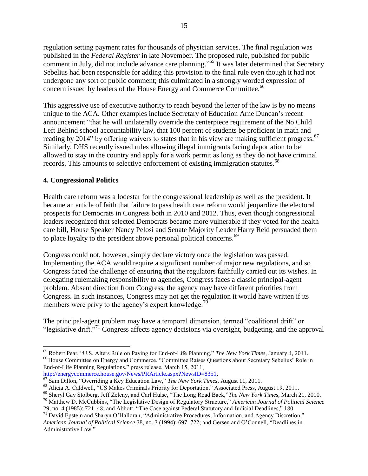regulation setting payment rates for thousands of physician services. The final regulation was published in the *Federal Register* in late November. The proposed rule, published for public comment in July, did not include advance care planning."<sup>65</sup> It was later determined that Secretary Sebelius had been responsible for adding this provision to the final rule even though it had not undergone any sort of public comment; this culminated in a strongly worded expression of concern issued by leaders of the House Energy and Commerce Committee.<sup>66</sup>

This aggressive use of executive authority to reach beyond the letter of the law is by no means unique to the ACA. Other examples include Secretary of Education Arne Duncan's recent announcement "that he will unilaterally override the centerpiece requirement of the No Child Left Behind school accountability law, that 100 percent of students be proficient in math and reading by 2014" by offering waivers to states that in his view are making sufficient progress.<sup>67</sup> Similarly, DHS recently issued rules allowing illegal immigrants facing deportation to be allowed to stay in the country and apply for a work permit as long as they do not have criminal records. This amounts to selective enforcement of existing immigration statutes.<sup>68</sup>

#### **4. Congressional Politics**

 $\overline{a}$ 

Health care reform was a lodestar for the congressional leadership as well as the president. It became an article of faith that failure to pass health care reform would jeopardize the electoral prospects for Democrats in Congress both in 2010 and 2012. Thus, even though congressional leaders recognized that selected Democrats became more vulnerable if they voted for the health care bill, House Speaker Nancy Pelosi and Senate Majority Leader Harry Reid persuaded them to place loyalty to the president above personal political concerns.<sup>69</sup>

Congress could not, however, simply declare victory once the legislation was passed. Implementing the ACA would require a significant number of major new regulations, and so Congress faced the challenge of ensuring that the regulators faithfully carried out its wishes. In delegating rulemaking responsibility to agencies, Congress faces a classic principal-agent problem. Absent direction from Congress, the agency may have different priorities from Congress. In such instances, Congress may not get the regulation it would have written if its members were privy to the agency's expert knowledge.<sup>70</sup>

The principal-agent problem may have a temporal dimension, termed "coalitional drift" or "legislative drift."<sup>71</sup> Congress affects agency decisions via oversight, budgeting, and the approval

<sup>&</sup>lt;sup>65</sup> Robert Pear, "U.S. Alters Rule on Paying for End-of-Life Planning," *The New York Times*, January 4, 2011. <sup>66</sup> House Committee on Energy and Commerce, "Committee Raises Questions about Secretary Sebelius' Role in End-of-Life Planning Regulations," press release, March 15, 2011, [http://energycommerce.house.gov/News/PRArticle.aspx?NewsID=8351.](http://energycommerce.house.gov/News/PRArticle.aspx?NewsID=8351)

<sup>&</sup>lt;sup>67</sup> Sam Dillon, "Overriding a Key Education Law," *The New York Times*, August 11, 2011.

<sup>&</sup>lt;sup>68</sup> Alicia A. Caldwell, "US Makes Criminals Priority for Deportation," Associated Press, August 19, 2011.

<sup>&</sup>lt;sup>69</sup> Sheryl Gay Stolberg, Jeff Zeleny, and Carl Hulse, "The Long Road Back,"The New York Times, March 21, 2010.

<sup>&</sup>lt;sup>70</sup> Matthew D. McCubbins, "The Legislative Design of Regulatory Structure," *American Journal of Political Science* 29, no. 4 (1985): 721–48; and Abbott, "The Case against Federal Statutory and Judicial Deadlines," 180.

<sup>&</sup>lt;sup>71</sup> David Epstein and Sharyn O'Halloran, "Administrative Procedures, Information, and Agency Discretion," *American Journal of Political Science* 38, no. 3 (1994): 697–722; and Gersen and O'Connell, "Deadlines in Administrative Law."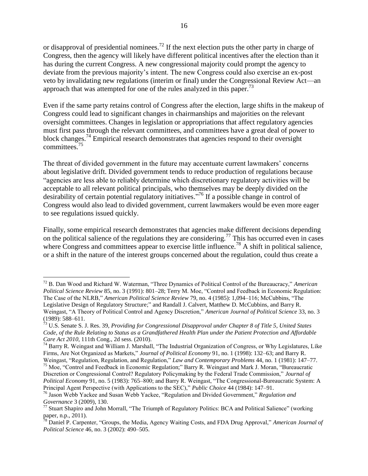or disapproval of presidential nominees.<sup>72</sup> If the next election puts the other party in charge of Congress, then the agency will likely have different political incentives after the election than it has during the current Congress. A new congressional majority could prompt the agency to deviate from the previous majority's intent. The new Congress could also exercise an ex-post veto by invalidating new regulations (interim or final) under the Congressional Review Act—an approach that was attempted for one of the rules analyzed in this paper.<sup>73</sup>

Even if the same party retains control of Congress after the election, large shifts in the makeup of Congress could lead to significant changes in chairmanships and majorities on the relevant oversight committees. Changes in legislation or appropriations that affect regulatory agencies must first pass through the relevant committees, and committees have a great deal of power to block changes.<sup>74</sup> Empirical research demonstrates that agencies respond to their oversight committees.<sup>75</sup>

The threat of divided government in the future may accentuate current lawmakers' concerns about legislative drift. Divided government tends to reduce production of regulations because "agencies are less able to reliably determine which discretionary regulatory activities will be acceptable to all relevant political principals, who themselves may be deeply divided on the desirability of certain potential regulatory initiatives."<sup>76</sup> If a possible change in control of Congress would also lead to divided government, current lawmakers would be even more eager to see regulations issued quickly.

Finally, some empirical research demonstrates that agencies make different decisions depending on the political salience of the regulations they are considering.<sup>77</sup> This has occurred even in cases where Congress and committees appear to exercise little influence.<sup>78</sup> A shift in political salience, or a shift in the nature of the interest groups concerned about the regulation, could thus create a

<sup>&</sup>lt;sup>72</sup> B. Dan Wood and Richard W. Waterman, "Three Dynamics of Political Control of the Bureaucracy," *American Political Science Review 85, no. 3 (1991): 801-28; Terry M. Moe, "Control and Feedback in Economic Regulation:* The Case of the NLRB," *American Political Science Review 79*, no. 4 (1985): 1,094–116; McCubbins, "The Legislative Design of Regulatory Structure;" and Randall J. Calvert, Matthew D. McCubbins, and Barry R. Weingast, "A Theory of Political Control and Agency Discretion," *American Journal of Political Science* 33, no. 3 (1989): 588–611.

<sup>73</sup> U.S. Senate S. J. Res. 39, *Providing for Congressional Disapproval under Chapter 8 of Title 5, United States Code, of the Rule Relating to Status as a Grandfathered Health Plan under the Patient Protection and Affordable Care Act 2010*, 111th Cong., 2d sess. (2010).

<sup>&</sup>lt;sup>74</sup> Barry R. Weingast and William J. Marshall, "The Industrial Organization of Congress, or Why Legislatures, Like Firms, Are Not Organized as Markets," *Journal of Political Economy* 91, no. 1 (1998): 132–63; and Barry R. Weingast, "Regulation, Regulation, and Regulation," *Law and Contemporary Problems* 44, no. 1 (1981): 147–77.

<sup>&</sup>lt;sup>75</sup> Moe, "Control and Feedback in Economic Regulation;" Barry R. Weingast and Mark J. Moran, "Bureaucratic Discretion or Congressional Control? Regulatory Policymaking by the Federal Trade Commission," Journal of *Political Economy* 91, no. 5 (1983): 765–800; and Barry R. Weingast, "The Congressional-Bureaucratic System: A Principal Agent Perspective (with Applications to the SEC)," *Public Choice* 44 (1984): 147–91.

<sup>&</sup>lt;sup>76</sup> Jason Webb Yackee and Susan Webb Yackee, "Regulation and Divided Government," Regulation and *Governance* 3 (2009), 130.

 $^{77}$  Stuart Shapiro and John Morrall, "The Triumph of Regulatory Politics: BCA and Political Salience" (working paper, n.p., 2011).

<sup>&</sup>lt;sup>78</sup> Daniel P. Carpenter, "Groups, the Media, Agency Waiting Costs, and FDA Drug Approval," *American Journal of Political Science* 46, no. 3 (2002): 490–505.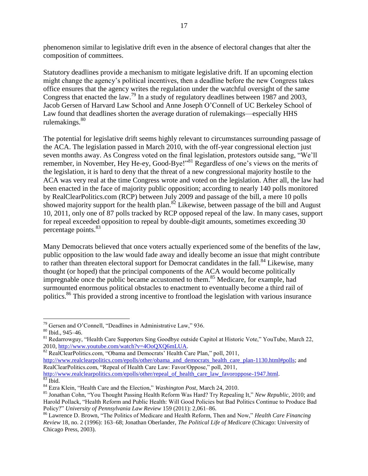phenomenon similar to legislative drift even in the absence of electoral changes that alter the composition of committees.

Statutory deadlines provide a mechanism to mitigate legislative drift. If an upcoming election might change the agency's political incentives, then a deadline before the new Congress takes office ensures that the agency writes the regulation under the watchful oversight of the same Congress that enacted the law.<sup>79</sup> In a study of regulatory deadlines between 1987 and 2003, Jacob Gersen of Harvard Law School and Anne Joseph O'Connell of UC Berkeley School of Law found that deadlines shorten the average duration of rulemakings—especially HHS rulemakings. $80$ 

The potential for legislative drift seems highly relevant to circumstances surrounding passage of the ACA. The legislation passed in March 2010, with the off-year congressional election just seven months away. As Congress voted on the final legislation, protestors outside sang, "We'll remember, in November, Hey He-ey, Good-Bye!"<sup>81</sup> Regardless of one's views on the merits of the legislation, it is hard to deny that the threat of a new congressional majority hostile to the ACA was very real at the time Congress wrote and voted on the legislation. After all, the law had been enacted in the face of majority public opposition; according to nearly 140 polls monitored by RealClearPolitics.com (RCP) between July 2009 and passage of the bill, a mere 10 polls showed majority support for the health plan.<sup>82</sup> Likewise, between passage of the bill and August 10, 2011, only one of 87 polls tracked by RCP opposed repeal of the law. In many cases, support for repeal exceeded opposition to repeal by double-digit amounts, sometimes exceeding 30 percentage points.<sup>83</sup>

Many Democrats believed that once voters actually experienced some of the benefits of the law, public opposition to the law would fade away and ideally become an issue that might contribute to rather than threaten electoral support for Democrat candidates in the fall.<sup>84</sup> Likewise, many thought (or hoped) that the principal components of the ACA would become politically impregnable once the public became accustomed to them.<sup>85</sup> Medicare, for example, had surmounted enormous political obstacles to enactment to eventually become a third rail of politics.<sup>86</sup> This provided a strong incentive to frontload the legislation with various insurance

 $82$  RealClearPolitics.com, "Obama and Democrats' Health Care Plan," poll, 2011,

[http://www.realclearpolitics.com/epolls/other/obama\\_and\\_democrats\\_health\\_care\\_plan-1130.html#polls;](http://www.realclearpolitics.com/epolls/other/obama_and_democrats_health_care_plan-1130.html#polls) and RealClearPolitics.com, "Repeal of Health Care Law: Favor/Oppose," poll, 2011, [http://www.realclearpolitics.com/epolls/other/repeal\\_of\\_health\\_care\\_law\\_favoroppose-1947.html.](http://www.realclearpolitics.com/epolls/other/repeal_of_health_care_law_favoroppose-1947.html)

 $79$  Gersen and O'Connell, "Deadlines in Administrative Law," 936.

<sup>80</sup> Ibid., 945–46.

<sup>&</sup>lt;sup>81</sup> Redarrowguy, "Health Care Supporters Sing Goodbye outside Capitol at Historic Vote," YouTube, March 22, 2010, [http://www.youtube.com/watch?v=4OoQXQ6mLUA.](http://www.youtube.com/watch?v=4OoQXQ6mLUA)

 $83$  Ibid.

<sup>&</sup>lt;sup>84</sup> Ezra Klein, "Health Care and the Election," *Washington Post*, March 24, 2010.

<sup>&</sup>lt;sup>85</sup> Jonathan Cohn, "You Thought Passing Health Reform Was Hard? Try Repealing It," New Republic, 2010; and Harold Pollack, "Health Reform and Public Health: Will Good Policies but Bad Politics Continue to Produce Bad Policy?‖ *University of Pennsylvania Law Review* 159 (2011): 2,061–86.

<sup>&</sup>lt;sup>86</sup> Lawrence D. Brown, "The Politics of Medicare and Health Reform, Then and Now," *Health Care Financing Review* 18, no. 2 (1996): 163–68; Jonathan Oberlander, *The Political Life of Medicare* (Chicago: University of Chicago Press, 2003).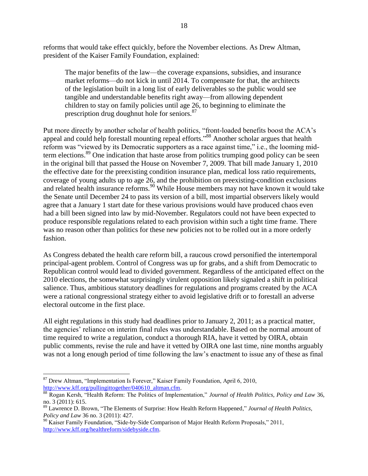reforms that would take effect quickly, before the November elections. As Drew Altman, president of the Kaiser Family Foundation, explained:

The major benefits of the law—the coverage expansions, subsidies, and insurance market reforms—do not kick in until 2014. To compensate for that, the architects of the legislation built in a long list of early deliverables so the public would see tangible and understandable benefits right away—from allowing dependent children to stay on family policies until age 26, to beginning to eliminate the prescription drug doughnut hole for seniors.<sup>87</sup>

Put more directly by another scholar of health politics, "front-loaded benefits boost the ACA's appeal and could help forestall mounting repeal efforts."<sup>88</sup> Another scholar argues that health reform was "viewed by its Democratic supporters as a race against time," i.e., the looming midterm elections.<sup>89</sup> One indication that haste arose from politics trumping good policy can be seen in the original bill that passed the House on November 7, 2009. That bill made January 1, 2010 the effective date for the preexisting condition insurance plan, medical loss ratio requirements, coverage of young adults up to age 26, and the prohibition on preexisting-condition exclusions and related health insurance reforms.<sup>90</sup> While House members may not have known it would take the Senate until December 24 to pass its version of a bill, most impartial observers likely would agree that a January 1 start date for these various provisions would have produced chaos even had a bill been signed into law by mid-November. Regulators could not have been expected to produce responsible regulations related to each provision within such a tight time frame. There was no reason other than politics for these new policies not to be rolled out in a more orderly fashion.

As Congress debated the health care reform bill, a raucous crowd personified the intertemporal principal-agent problem. Control of Congress was up for grabs, and a shift from Democratic to Republican control would lead to divided government. Regardless of the anticipated effect on the 2010 elections, the somewhat surprisingly virulent opposition likely signaled a shift in political salience. Thus, ambitious statutory deadlines for regulations and programs created by the ACA were a rational congressional strategy either to avoid legislative drift or to forestall an adverse electoral outcome in the first place.

All eight regulations in this study had deadlines prior to January 2, 2011; as a practical matter, the agencies' reliance on interim final rules was understandable. Based on the normal amount of time required to write a regulation, conduct a thorough RIA, have it vetted by OIRA, obtain public comments, revise the rule and have it vetted by OIRA one last time, nine months arguably was not a long enough period of time following the law's enactment to issue any of these as final

 $\overline{a}$  $87$  Drew Altman, "Implementation Is Forever," Kaiser Family Foundation, April 6, 2010, [http://www.kff.org/pullingittogether/040610\\_altman.cfm.](http://www.kff.org/pullingittogether/040610_altman.cfm)

<sup>&</sup>lt;sup>88</sup> Rogan Kersh, "Health Reform: The Politics of Implementation," *Journal of Health Politics, Policy and Law* 36, no. 3 (2011): 615.

<sup>&</sup>lt;sup>89</sup> Lawrence D. Brown, "The Elements of Surprise: How Health Reform Happened," *Journal of Health Politics*, *Policy and Law* 36 no. 3 (2011): 427.

<sup>&</sup>lt;sup>90</sup> Kaiser Family Foundation, "Side-by-Side Comparison of Major Health Reform Proposals," 2011, [http://www.kff.org/healthreform/sidebyside.cfm.](http://www.kff.org/healthreform/sidebyside.cfm)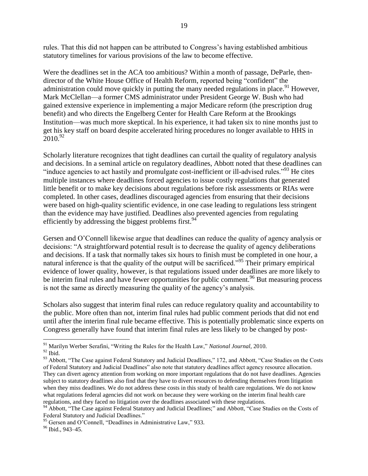rules. That this did not happen can be attributed to Congress's having established ambitious statutory timelines for various provisions of the law to become effective.

Were the deadlines set in the ACA too ambitious? Within a month of passage, DeParle, thendirector of the White House Office of Health Reform, reported being "confident" the administration could move quickly in putting the many needed regulations in place.<sup>91</sup> However, Mark McClellan—a former CMS administrator under President George W. Bush who had gained extensive experience in implementing a major Medicare reform (the prescription drug benefit) and who directs the Engelberg Center for Health Care Reform at the Brookings Institution—was much more skeptical. In his experience, it had taken six to nine months just to get his key staff on board despite accelerated hiring procedures no longer available to HHS in  $2010.<sup>92</sup>$ 

Scholarly literature recognizes that tight deadlines can curtail the quality of regulatory analysis and decisions. In a seminal article on regulatory deadlines, Abbott noted that these deadlines can "induce agencies to act hastily and promulgate cost-inefficient or ill-advised rules."<sup>93</sup> He cites multiple instances where deadlines forced agencies to issue costly regulations that generated little benefit or to make key decisions about regulations before risk assessments or RIAs were completed. In other cases, deadlines discouraged agencies from ensuring that their decisions were based on high-quality scientific evidence, in one case leading to regulations less stringent than the evidence may have justified. Deadlines also prevented agencies from regulating efficiently by addressing the biggest problems first.  $94$ 

Gersen and O'Connell likewise argue that deadlines can reduce the quality of agency analysis or decisions: ―A straightforward potential result is to decrease the quality of agency deliberations and decisions. If a task that normally takes six hours to finish must be completed in one hour, a natural inference is that the quality of the output will be sacrificed.<sup>95</sup> Their primary empirical evidence of lower quality, however, is that regulations issued under deadlines are more likely to be interim final rules and have fewer opportunities for public comment.<sup>96</sup> But measuring process is not the same as directly measuring the quality of the agency's analysis.

Scholars also suggest that interim final rules can reduce regulatory quality and accountability to the public. More often than not, interim final rules had public comment periods that did not end until after the interim final rule became effective. This is potentially problematic since experts on Congress generally have found that interim final rules are less likely to be changed by post-

<sup>&</sup>lt;sup>91</sup> Marilyn Werber Serafini, "Writing the Rules for the Health Law," *National Journal*, 2010.  $^{92}$  Ibid.

<sup>&</sup>lt;sup>93</sup> Abbott, "The Case against Federal Statutory and Judicial Deadlines," 172, and Abbott, "Case Studies on the Costs of Federal Statutory and Judicial Deadlines" also note that statutory deadlines affect agency resource allocation. They can divert agency attention from working on more important regulations that do not have deadlines. Agencies subject to statutory deadlines also find that they have to divert resources to defending themselves from litigation when they miss deadlines. We do not address these costs in this study of health care regulations. We do not know what regulations federal agencies did not work on because they were working on the interim final health care regulations, and they faced no litigation over the deadlines associated with these regulations.

<sup>94</sup> Abbott, "The Case against Federal Statutory and Judicial Deadlines;" and Abbott, "Case Studies on the Costs of Federal Statutory and Judicial Deadlines."

 $95$  Gersen and O'Connell, "Deadlines in Administrative Law," 933.

 $96$  Ibid., 943–45.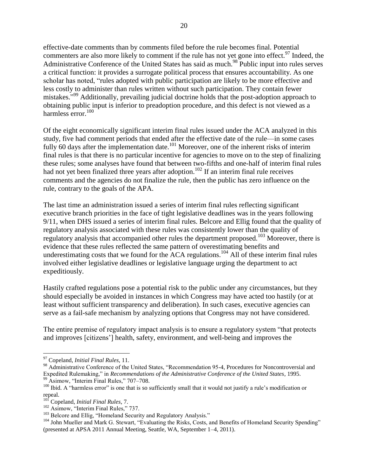effective-date comments than by comments filed before the rule becomes final. Potential commenters are also more likely to comment if the rule has not yet gone into effect.<sup>97</sup> Indeed, the Administrative Conference of the United States has said as much.<sup>98</sup> Public input into rules serves a critical function: it provides a surrogate political process that ensures accountability. As one scholar has noted, "rules adopted with public participation are likely to be more effective and less costly to administer than rules written without such participation. They contain fewer mistakes."<sup>99</sup> Additionally, prevailing judicial doctrine holds that the post-adoption approach to obtaining public input is inferior to preadoption procedure, and this defect is not viewed as a harmless error.<sup>100</sup>

Of the eight economically significant interim final rules issued under the ACA analyzed in this study, five had comment periods that ended after the effective date of the rule—in some cases fully 60 days after the implementation date.<sup>101</sup> Moreover, one of the inherent risks of interim final rules is that there is no particular incentive for agencies to move on to the step of finalizing these rules; some analyses have found that between two-fifths and one-half of interim final rules had not yet been finalized three years after adoption.<sup>102</sup> If an interim final rule receives comments and the agencies do not finalize the rule, then the public has zero influence on the rule, contrary to the goals of the APA.

The last time an administration issued a series of interim final rules reflecting significant executive branch priorities in the face of tight legislative deadlines was in the years following 9/11, when DHS issued a series of interim final rules. Belcore and Ellig found that the quality of regulatory analysis associated with these rules was consistently lower than the quality of regulatory analysis that accompanied other rules the department proposed.<sup>103</sup> Moreover, there is evidence that these rules reflected the same pattern of overestimating benefits and underestimating costs that we found for the  $\overline{ACA}$  regulations.<sup>104</sup> All of these interim final rules involved either legislative deadlines or legislative language urging the department to act expeditiously.

Hastily crafted regulations pose a potential risk to the public under any circumstances, but they should especially be avoided in instances in which Congress may have acted too hastily (or at least without sufficient transparency and deliberation). In such cases, executive agencies can serve as a fail-safe mechanism by analyzing options that Congress may not have considered.

The entire premise of regulatory impact analysis is to ensure a regulatory system "that protects" and improves [citizens'] health, safety, environment, and well-being and improves the

 $\overline{a}$ <sup>97</sup> Copeland, *Initial Final Rules*, 11.

<sup>98</sup> Administrative Conference of the United States, "Recommendation 95-4, Procedures for Noncontroversial and Expedited Rulemaking," in *Recommendations of the Administrative Conference of the United States*, 1995. <sup>99</sup> Asimow, "Interim Final Rules," 707-708.

 $100$  Ibid. A "harmless error" is one that is so sufficiently small that it would not justify a rule's modification or repeal.

<sup>101</sup> Copeland, *Initial Final Rules*, 7.

 $102$  Asimow, "Interim Final Rules," 737.

<sup>&</sup>lt;sup>103</sup> Belcore and Ellig, "Homeland Security and Regulatory Analysis."

<sup>&</sup>lt;sup>104</sup> John Mueller and Mark G. Stewart, "Evaluating the Risks, Costs, and Benefits of Homeland Security Spending" (presented at APSA 2011 Annual Meeting, Seattle, WA, September 1–4, 2011).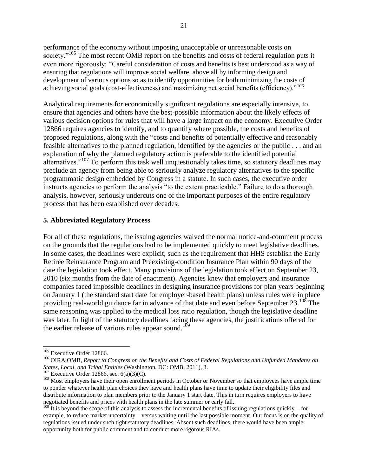performance of the economy without imposing unacceptable or unreasonable costs on society."<sup>105</sup> The most recent OMB report on the benefits and costs of federal regulation puts it even more rigorously: "Careful consideration of costs and benefits is best understood as a way of ensuring that regulations will improve social welfare, above all by informing design and development of various options so as to identify opportunities for both minimizing the costs of achieving social goals (cost-effectiveness) and maximizing net social benefits (efficiency)."<sup>106</sup>

Analytical requirements for economically significant regulations are especially intensive, to ensure that agencies and others have the best-possible information about the likely effects of various decision options for rules that will have a large impact on the economy. Executive Order 12866 requires agencies to identify, and to quantify where possible, the costs and benefits of proposed regulations, along with the "costs and benefits of potentially effective and reasonably feasible alternatives to the planned regulation, identified by the agencies or the public . . . and an explanation of why the planned regulatory action is preferable to the identified potential alternatives."<sup>107</sup> To perform this task well unquestionably takes time, so statutory deadlines may preclude an agency from being able to seriously analyze regulatory alternatives to the specific programmatic design embedded by Congress in a statute. In such cases, the executive order instructs agencies to perform the analysis "to the extent practicable." Failure to do a thorough analysis, however, seriously undercuts one of the important purposes of the entire regulatory process that has been established over decades.

#### **5. Abbreviated Regulatory Process**

For all of these regulations, the issuing agencies waived the normal notice-and-comment process on the grounds that the regulations had to be implemented quickly to meet legislative deadlines. In some cases, the deadlines were explicit, such as the requirement that HHS establish the Early Retiree Reinsurance Program and Preexisting-condition Insurance Plan within 90 days of the date the legislation took effect. Many provisions of the legislation took effect on September 23, 2010 (six months from the date of enactment). Agencies knew that employers and insurance companies faced impossible deadlines in designing insurance provisions for plan years beginning on January 1 (the standard start date for employer-based health plans) unless rules were in place providing real-world guidance far in advance of that date and even before September 23.<sup>108</sup> The same reasoning was applied to the medical loss ratio regulation, though the legislative deadline was later. In light of the statutory deadlines facing these agencies, the justifications offered for the earlier release of various rules appear sound.<sup>109</sup>

<sup>&</sup>lt;sup>105</sup> Executive Order 12866.

<sup>106</sup> OIRA:OMB, *Report to Congress on the Benefits and Costs of Federal Regulations and Unfunded Mandates on States, Local, and Tribal Entities* (Washington, DC: OMB, 2011), 3.

 $107$  Executive Order 12866, sec. 6(a)(3)(C).

<sup>&</sup>lt;sup>108</sup> Most employers have their open enrollment periods in October or November so that employees have ample time to ponder whatever health plan choices they have and health plans have time to update their eligibility files and distribute information to plan members prior to the January 1 start date. This in turn requires employers to have negotiated benefits and prices with health plans in the late summer or early fall.

 $109$  It is beyond the scope of this analysis to assess the incremental benefits of issuing regulations quickly—for example, to reduce market uncertainty—versus waiting until the last possible moment. Our focus is on the quality of regulations issued under such tight statutory deadlines. Absent such deadlines, there would have been ample opportunity both for public comment and to conduct more rigorous RIAs.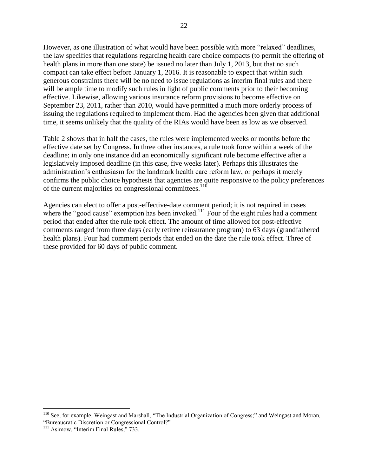However, as one illustration of what would have been possible with more "relaxed" deadlines, the law specifies that regulations regarding health care choice compacts (to permit the offering of health plans in more than one state) be issued no later than July 1, 2013, but that no such compact can take effect before January 1, 2016. It is reasonable to expect that within such generous constraints there will be no need to issue regulations as interim final rules and there will be ample time to modify such rules in light of public comments prior to their becoming effective. Likewise, allowing various insurance reform provisions to become effective on September 23, 2011, rather than 2010, would have permitted a much more orderly process of issuing the regulations required to implement them. Had the agencies been given that additional time, it seems unlikely that the quality of the RIAs would have been as low as we observed.

Table 2 shows that in half the cases, the rules were implemented weeks or months before the effective date set by Congress. In three other instances, a rule took force within a week of the deadline; in only one instance did an economically significant rule become effective after a legislatively imposed deadline (in this case, five weeks later). Perhaps this illustrates the administration's enthusiasm for the landmark health care reform law, or perhaps it merely confirms the public choice hypothesis that agencies are quite responsive to the policy preferences of the current majorities on congressional committees.<sup>110</sup>

Agencies can elect to offer a post-effective-date comment period; it is not required in cases where the "good cause" exemption has been invoked.<sup>111</sup> Four of the eight rules had a comment period that ended after the rule took effect. The amount of time allowed for post-effective comments ranged from three days (early retiree reinsurance program) to 63 days (grandfathered health plans). Four had comment periods that ended on the date the rule took effect. Three of these provided for 60 days of public comment.

 $110$  See, for example, Weingast and Marshall, "The Industrial Organization of Congress;" and Weingast and Moran, "Bureaucratic Discretion or Congressional Control?"

 $111$  Asimow, "Interim Final Rules," 733.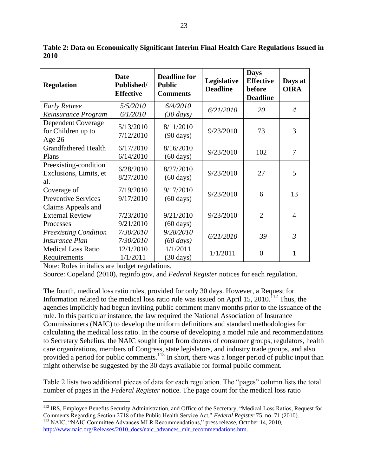**Regulation Date Published/ Effective Deadline for Public Comments Legislative Deadline Days Effective before Deadline Days at OIRA** *Early Retiree Reinsurance Program 5/5/2010 6/1/2010 6/4/2010 (30 days) 6/21/2010 <sup>20</sup> <sup>4</sup>* Dependent Coverage for Children up to Age 26 5/13/2010 7/12/2010 8/11/2010  $(90 \text{ days})$  9/23/2010 73 3 Grandfathered Health Plans 6/17/2010 6/14/2010 8/16/2010  $(60 \text{ days})$  9/23/2010 102 7 Preexisting-condition Exclusions, Limits, et al. 6/28/2010 8/27/2010 8/27/2010  $(60 \text{ days})$  9/23/2010 27 5 Coverage of Preventive Services 7/19/2010 9/17/2010 9/17/2010  $(60 \text{ days})$  9/23/2010 6 13 Claims Appeals and External Review Processes 7/23/2010 9/21/2010 9/21/2010 (60 days) 9/23/2010 | 2 | 4 *Preexisting Condition Insurance Plan 7/30/2010 7/30/2010 9/28/2010 (60 days) 6/21/2010 –39 <sup>3</sup>* Medical Loss Ratio Requirements 12/1/2010 1/1/2011 1/1/2011  $(30 \text{ days})$  1/1/2011 0 1

**Table 2: Data on Economically Significant Interim Final Health Care Regulations Issued in 2010** 

Note: Rules in italics are budget regulations.

 $\overline{a}$ 

Source: Copeland (2010), reginfo.gov, and *Federal Register* notices for each regulation.

The fourth, medical loss ratio rules, provided for only 30 days. However, a Request for Information related to the medical loss ratio rule was issued on April 15, 2010.<sup>112</sup> Thus, the agencies implicitly had begun inviting public comment many months prior to the issuance of the rule. In this particular instance, the law required the National Association of Insurance Commissioners (NAIC) to develop the uniform definitions and standard methodologies for calculating the medical loss ratio. In the course of developing a model rule and recommendations to Secretary Sebelius, the NAIC sought input from dozens of consumer groups, regulators, health care organizations, members of Congress, state legislators, and industry trade groups, and also provided a period for public comments.<sup>113</sup> In short, there was a longer period of public input than might otherwise be suggested by the 30 days available for formal public comment.

Table 2 lists two additional pieces of data for each regulation. The "pages" column lists the total number of pages in the *Federal Register* notice. The page count for the medical loss ratio

[http://www.naic.org/Releases/2010\\_docs/naic\\_advances\\_mlr\\_recommendations.htm.](http://www.naic.org/Releases/2010_docs/naic_advances_mlr_recommendations.htm)

<sup>&</sup>lt;sup>112</sup> IRS, Employee Benefits Security Administration, and Office of the Secretary, "Medical Loss Ratios, Request for Comments Regarding Section 2718 of the Public Health Service Act,‖ *Federal Register* 75, no. 71 (2010). <sup>113</sup> NAIC, "NAIC Committee Advances MLR Recommendations," press release, October 14, 2010,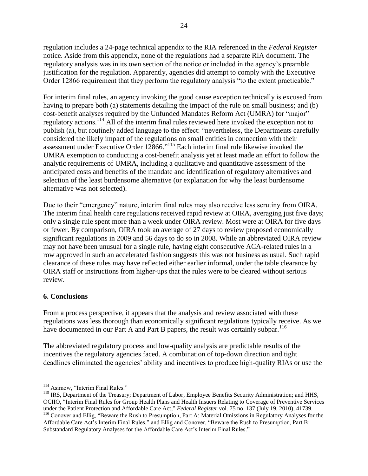regulation includes a 24-page technical appendix to the RIA referenced in the *Federal Register* notice. Aside from this appendix, none of the regulations had a separate RIA document. The regulatory analysis was in its own section of the notice or included in the agency's preamble justification for the regulation. Apparently, agencies did attempt to comply with the Executive Order 12866 requirement that they perform the regulatory analysis "to the extent practicable."

For interim final rules, an agency invoking the good cause exception technically is excused from having to prepare both (a) statements detailing the impact of the rule on small business; and (b) cost-benefit analyses required by the Unfunded Mandates Reform Act (UMRA) for "major" regulatory actions.<sup>114</sup> All of the interim final rules reviewed here invoked the exception not to publish (a), but routinely added language to the effect: "nevertheless, the Departments carefully considered the likely impact of the regulations on small entities in connection with their assessment under Executive Order 12866."<sup>115</sup> Each interim final rule likewise invoked the UMRA exemption to conducting a cost-benefit analysis yet at least made an effort to follow the analytic requirements of UMRA, including a qualitative and quantitative assessment of the anticipated costs and benefits of the mandate and identification of regulatory alternatives and selection of the least burdensome alternative (or explanation for why the least burdensome alternative was not selected).

Due to their "emergency" nature, interim final rules may also receive less scrutiny from OIRA. The interim final health care regulations received rapid review at OIRA, averaging just five days; only a single rule spent more than a week under OIRA review. Most were at OIRA for five days or fewer. By comparison, OIRA took an average of 27 days to review proposed economically significant regulations in 2009 and 56 days to do so in 2008. While an abbreviated OIRA review may not have been unusual for a single rule, having eight consecutive ACA-related rules in a row approved in such an accelerated fashion suggests this was not business as usual. Such rapid clearance of these rules may have reflected either earlier informal, under the table clearance by OIRA staff or instructions from higher-ups that the rules were to be cleared without serious review.

#### **6. Conclusions**

From a process perspective, it appears that the analysis and review associated with these regulations was less thorough than economically significant regulations typically receive. As we have documented in our Part A and Part B papers, the result was certainly subpar.<sup>116</sup>

The abbreviated regulatory process and low-quality analysis are predictable results of the incentives the regulatory agencies faced. A combination of top-down direction and tight deadlines eliminated the agencies' ability and incentives to produce high-quality RIAs or use the

 $\overline{a}$ <sup>114</sup> Asimow, "Interim Final Rules."

<sup>&</sup>lt;sup>115</sup> IRS, Department of the Treasury; Department of Labor, Employee Benefits Security Administration; and HHS, OCIIO, "Interim Final Rules for Group Health Plans and Health Insuers Relating to Coverage of Preventive Services under the Patient Protection and Affordable Care Act," *Federal Register* vol. 75 no. 137 (July 19, 2010), 41739. <sup>116</sup> Conover and Ellig, "Beware the Rush to Presumption, Part A: Material Omissions in Regulatory Analyses for the Affordable Care Act's Interim Final Rules," and Ellig and Conover, "Beware the Rush to Presumption, Part B: Substandard Regulatory Analyses for the Affordable Care Act's Interim Final Rules."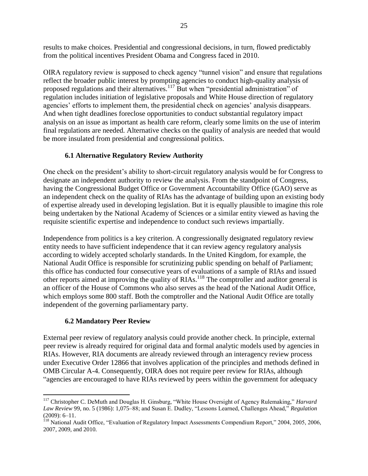results to make choices. Presidential and congressional decisions, in turn, flowed predictably from the political incentives President Obama and Congress faced in 2010.

OIRA regulatory review is supposed to check agency "tunnel vision" and ensure that regulations reflect the broader public interest by prompting agencies to conduct high-quality analysis of proposed regulations and their alternatives.<sup>117</sup> But when "presidential administration" of regulation includes initiation of legislative proposals and White House direction of regulatory agencies' efforts to implement them, the presidential check on agencies' analysis disappears. And when tight deadlines foreclose opportunities to conduct substantial regulatory impact analysis on an issue as important as health care reform, clearly some limits on the use of interim final regulations are needed. Alternative checks on the quality of analysis are needed that would be more insulated from presidential and congressional politics.

## **6.1 Alternative Regulatory Review Authority**

One check on the president's ability to short-circuit regulatory analysis would be for Congress to designate an independent authority to review the analysis. From the standpoint of Congress, having the Congressional Budget Office or Government Accountability Office (GAO) serve as an independent check on the quality of RIAs has the advantage of building upon an existing body of expertise already used in developing legislation. But it is equally plausible to imagine this role being undertaken by the National Academy of Sciences or a similar entity viewed as having the requisite scientific expertise and independence to conduct such reviews impartially.

Independence from politics is a key criterion. A congressionally designated regulatory review entity needs to have sufficient independence that it can review agency regulatory analysis according to widely accepted scholarly standards. In the United Kingdom, for example, the National Audit Office is responsible for scrutinizing public spending on behalf of Parliament; this office has conducted four consecutive years of evaluations of a sample of RIAs and issued other reports aimed at improving the quality of RIAs.<sup>118</sup> The comptroller and auditor general is an officer of the House of Commons who also serves as the head of the National Audit Office, which employs some 800 staff. Both the comptroller and the National Audit Office are totally independent of the governing parliamentary party.

#### **6.2 Mandatory Peer Review**

 $\overline{a}$ 

External peer review of regulatory analysis could provide another check. In principle, external peer review is already required for original data and formal analytic models used by agencies in RIAs. However, RIA documents are already reviewed through an interagency review process under Executive Order 12866 that involves application of the principles and methods defined in OMB Circular A-4. Consequently, OIRA does not require peer review for RIAs, although "agencies are encouraged to have RIAs reviewed by peers within the government for adequacy

<sup>&</sup>lt;sup>117</sup> Christopher C. DeMuth and Douglas H. Ginsburg, "White House Oversight of Agency Rulemaking," *Harvard* Law Review 99, no. 5 (1986): 1,075–88; and Susan E. Dudley, "Lessons Learned, Challenges Ahead," Regulation (2009): 6–11.

<sup>&</sup>lt;sup>118</sup> National Audit Office, "Evaluation of Regulatory Impact Assessments Compendium Report," 2004, 2005, 2006, 2007, 2009, and 2010.